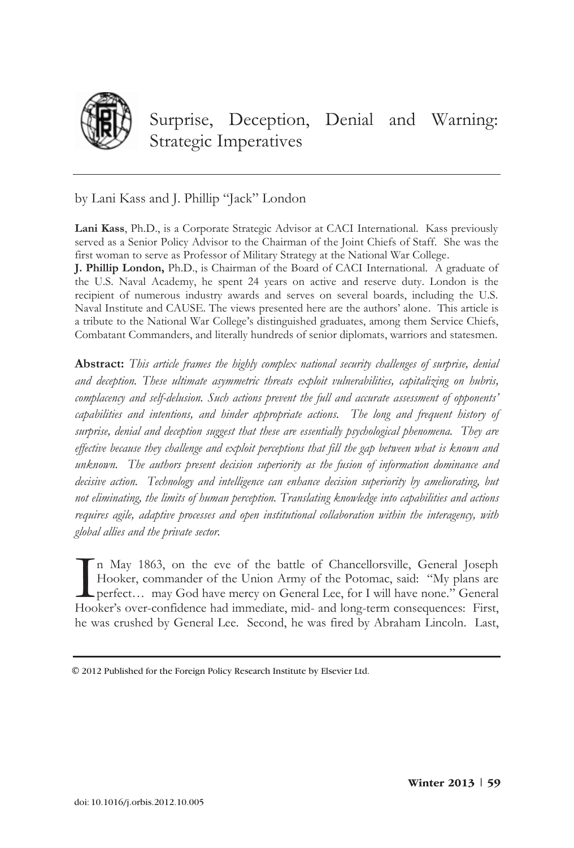

by Lani Kass and J. Phillip "Jack" London

**Lani Kass**, Ph.D., is a Corporate Strategic Advisor at CACI International. Kass previously served as a Senior Policy Advisor to the Chairman of the Joint Chiefs of Staff. She was the first woman to serve as Professor of Military Strategy at the National War College.

**J. Phillip London,** Ph.D., is Chairman of the Board of CACI International. A graduate of the U.S. Naval Academy, he spent 24 years on active and reserve duty. London is the recipient of numerous industry awards and serves on several boards, including the U.S. Naval Institute and CAUSE. The views presented here are the authors' alone. This article is a tribute to the National War College's distinguished graduates, among them Service Chiefs, Combatant Commanders, and literally hundreds of senior diplomats, warriors and statesmen.

**Abstract:** *This article frames the highly complex national security challenges of surprise, denial and deception. These ultimate asymmetric threats exploit vulnerabilities, capitalizing on hubris, complacency and self-delusion. Such actions prevent the full and accurate assessment of opponents' capabilities and intentions, and hinder appropriate actions. The long and frequent history of surprise, denial and deception suggest that these are essentially psychological phenomena. They are effective because they challenge and exploit perceptions that fill the gap between what is known and unknown. The authors present decision superiority as the fusion of information dominance and decisive action. Technology and intelligence can enhance decision superiority by ameliorating, but not eliminating, the limits of human perception. Translating knowledge into capabilities and actions requires agile, adaptive processes and open institutional collaboration within the interagency, with global allies and the private sector.*

n May 1863, on the eve of the battle of Chancellorsville, General Joseph Hooker, commander of the Union Army of the Potomac, said: "My plans are perfect… may God have mercy on General Lee, for I will have none." General In May 1863, on the eve of the battle of Chancellorsville, General Joseph Hooker, commander of the Union Army of the Potomac, said: "My plans are perfect... may God have mercy on General Lee, for I will have none." General he was crushed by General Lee. Second, he was fired by Abraham Lincoln. Last,

**<sup>© 2012</sup> Published for the Foreign Policy Research Institute by Elsevier Ltd.**  © 2012 Published for the Foreign Policy Research Institute by Elsevier Ltd.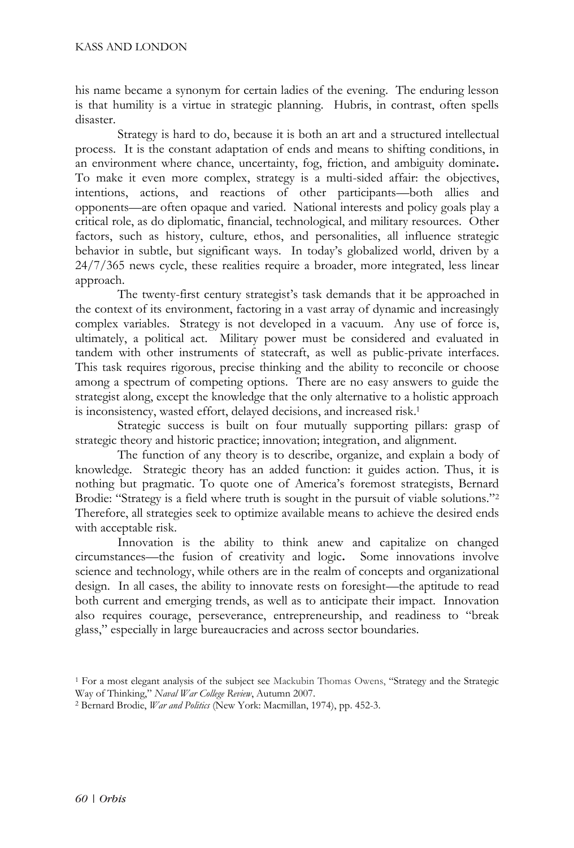his name became a synonym for certain ladies of the evening. The enduring lesson is that humility is a virtue in strategic planning. Hubris, in contrast, often spells disaster.

Strategy is hard to do, because it is both an art and a structured intellectual process. It is the constant adaptation of ends and means to shifting conditions, in an environment where chance, uncertainty, fog, friction, and ambiguity dominate**.** To make it even more complex, strategy is a multi-sided affair: the objectives, intentions, actions, and reactions of other participants—both allies and opponents—are often opaque and varied. National interests and policy goals play a critical role, as do diplomatic, financial, technological, and military resources. Other factors, such as history, culture, ethos, and personalities, all influence strategic behavior in subtle, but significant ways. In today's globalized world, driven by a 24/7/365 news cycle, these realities require a broader, more integrated, less linear approach.

The twenty-first century strategist's task demands that it be approached in the context of its environment, factoring in a vast array of dynamic and increasingly complex variables. Strategy is not developed in a vacuum. Any use of force is, ultimately, a political act. Military power must be considered and evaluated in tandem with other instruments of statecraft, as well as public-private interfaces. This task requires rigorous, precise thinking and the ability to reconcile or choose among a spectrum of competing options. There are no easy answers to guide the strategist along, except the knowledge that the only alternative to a holistic approach is inconsistency, wasted effort, delayed decisions, and increased risk.1

Strategic success is built on four mutually supporting pillars: grasp of strategic theory and historic practice; innovation; integration, and alignment.

The function of any theory is to describe, organize, and explain a body of knowledge.Strategic theory has an added function: it guides action. Thus, it is nothing but pragmatic. To quote one of America's foremost strategists, Bernard Brodie: "Strategy is a field where truth is sought in the pursuit of viable solutions."2 Therefore, all strategies seek to optimize available means to achieve the desired ends with acceptable risk.

 Innovation is the ability to think anew and capitalize on changed circumstances—the fusion of creativity and logic**.** Some innovations involve science and technology, while others are in the realm of concepts and organizational design. In all cases, the ability to innovate rests on foresight—the aptitude to read both current and emerging trends, as well as to anticipate their impact. Innovation also requires courage, perseverance, entrepreneurship, and readiness to "break glass," especially in large bureaucracies and across sector boundaries.

<sup>1</sup> For a most elegant analysis of the subject see Mackubin Thomas Owens, "Strategy and the Strategic Way of Thinking," *Naval War College Review*, Autumn 2007. 2 Bernard Brodie, *War and Politics* (New York: Macmillan, 1974), pp. 452-3.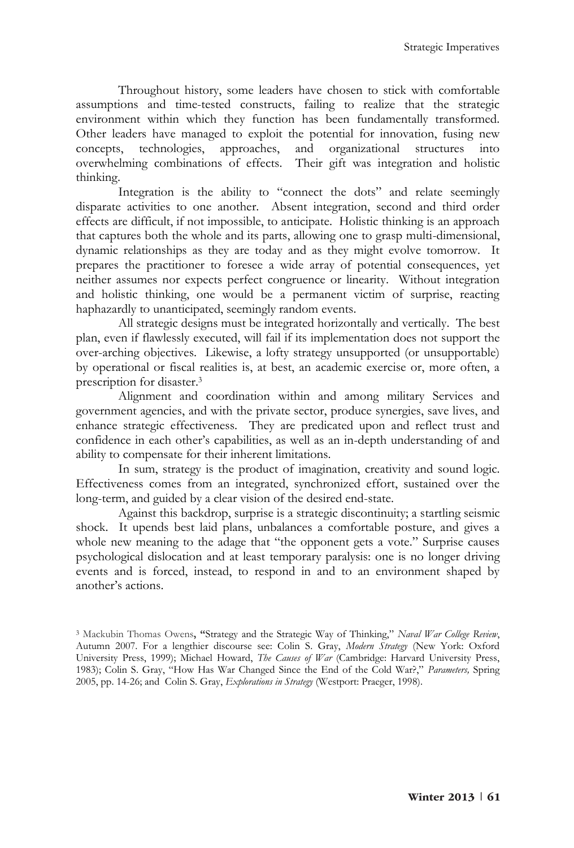Throughout history, some leaders have chosen to stick with comfortable assumptions and time-tested constructs, failing to realize that the strategic environment within which they function has been fundamentally transformed. Other leaders have managed to exploit the potential for innovation, fusing new concepts, technologies, approaches, and organizational structures into overwhelming combinations of effects. Their gift was integration and holistic thinking.

Integration is the ability to "connect the dots" and relate seemingly disparate activities to one another. Absent integration, second and third order effects are difficult, if not impossible, to anticipate. Holistic thinking is an approach that captures both the whole and its parts, allowing one to grasp multi-dimensional, dynamic relationships as they are today and as they might evolve tomorrow. It prepares the practitioner to foresee a wide array of potential consequences, yet neither assumes nor expects perfect congruence or linearity. Without integration and holistic thinking, one would be a permanent victim of surprise, reacting haphazardly to unanticipated, seemingly random events.

All strategic designs must be integrated horizontally and vertically. The best plan, even if flawlessly executed, will fail if its implementation does not support the over-arching objectives. Likewise, a lofty strategy unsupported (or unsupportable) by operational or fiscal realities is, at best, an academic exercise or, more often, a prescription for disaster.3

Alignment and coordination within and among military Services and government agencies, and with the private sector, produce synergies, save lives, and enhance strategic effectiveness. They are predicated upon and reflect trust and confidence in each other's capabilities, as well as an in-depth understanding of and ability to compensate for their inherent limitations.

In sum, strategy is the product of imagination, creativity and sound logic. Effectiveness comes from an integrated, synchronized effort, sustained over the long-term, and guided by a clear vision of the desired end-state.

Against this backdrop, surprise is a strategic discontinuity; a startling seismic shock. It upends best laid plans, unbalances a comfortable posture, and gives a whole new meaning to the adage that "the opponent gets a vote." Surprise causes psychological dislocation and at least temporary paralysis: one is no longer driving events and is forced, instead, to respond in and to an environment shaped by another's actions.

<sup>3</sup> Mackubin Thomas Owens**, "**Strategy and the Strategic Way of Thinking," *Naval War College Review*, Autumn 2007. For a lengthier discourse see: Colin S. Gray, *Modern Strategy* (New York: Oxford University Press, 1999); Michael Howard, *The Causes of War* (Cambridge: Harvard University Press, 1983); Colin S. Gray, "How Has War Changed Since the End of the Cold War?," *Parameters,* Spring 2005, pp. 14-26; and Colin S. Gray, *Explorations in Strategy* (Westport: Praeger, 1998).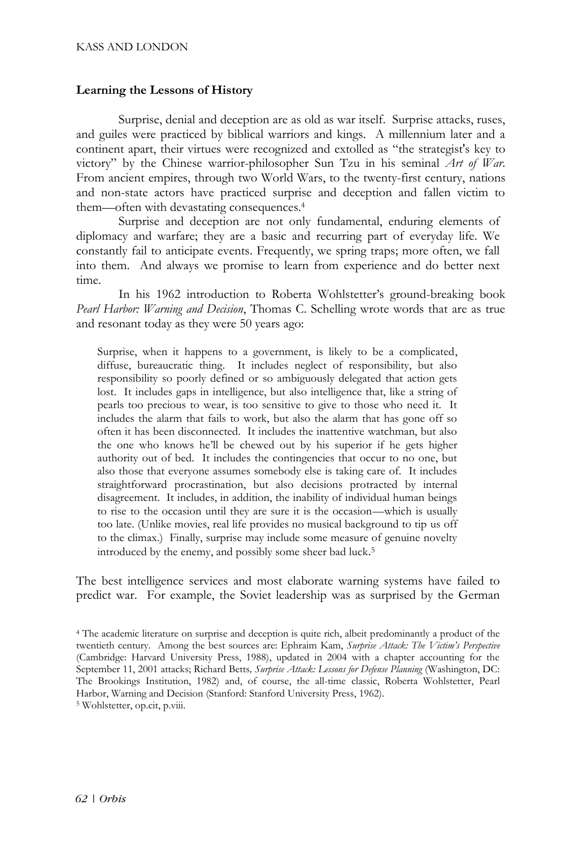# **Learning the Lessons of History**

 Surprise, denial and deception are as old as war itself. Surprise attacks, ruses, and guiles were practiced by biblical warriors and kings. A millennium later and a continent apart, their virtues were recognized and extolled as "the strategist's key to victory" by the Chinese warrior-philosopher Sun Tzu in his seminal *Art of War*. From ancient empires, through two World Wars, to the twenty-first century, nations and non-state actors have practiced surprise and deception and fallen victim to them—often with devastating consequences.4

 Surprise and deception are not only fundamental, enduring elements of diplomacy and warfare; they are a basic and recurring part of everyday life. We constantly fail to anticipate events. Frequently, we spring traps; more often, we fall into them. And always we promise to learn from experience and do better next time.

 In his 1962 introduction to Roberta Wohlstetter's ground-breaking book *Pearl Harbor: Warning and Decision*, Thomas C. Schelling wrote words that are as true and resonant today as they were 50 years ago:

Surprise, when it happens to a government, is likely to be a complicated, diffuse, bureaucratic thing. It includes neglect of responsibility, but also responsibility so poorly defined or so ambiguously delegated that action gets lost. It includes gaps in intelligence, but also intelligence that, like a string of pearls too precious to wear, is too sensitive to give to those who need it. It includes the alarm that fails to work, but also the alarm that has gone off so often it has been disconnected. It includes the inattentive watchman, but also the one who knows he'll be chewed out by his superior if he gets higher authority out of bed. It includes the contingencies that occur to no one, but also those that everyone assumes somebody else is taking care of. It includes straightforward procrastination, but also decisions protracted by internal disagreement. It includes, in addition, the inability of individual human beings to rise to the occasion until they are sure it is the occasion—which is usually too late. (Unlike movies, real life provides no musical background to tip us off to the climax.) Finally, surprise may include some measure of genuine novelty introduced by the enemy, and possibly some sheer bad luck. 5

The best intelligence services and most elaborate warning systems have failed to predict war. For example, the Soviet leadership was as surprised by the German

<sup>4</sup> The academic literature on surprise and deception is quite rich, albeit predominantly a product of the twentieth century. Among the best sources are: Ephraim Kam, *Surprise Attack: The Victim's Perspective*  (Cambridge: Harvard University Press, 1988), updated in 2004 with a chapter accounting for the September 11, 2001 attacks; Richard Betts*, Surprise Attack: Lessons for Defense Planning* (Washington, DC: The Brookings Institution, 1982) and, of course, the all-time classic, Roberta Wohlstetter, Pearl Harbor, Warning and Decision (Stanford: Stanford University Press, 1962).

<sup>5</sup> Wohlstetter, op.cit, p.viii.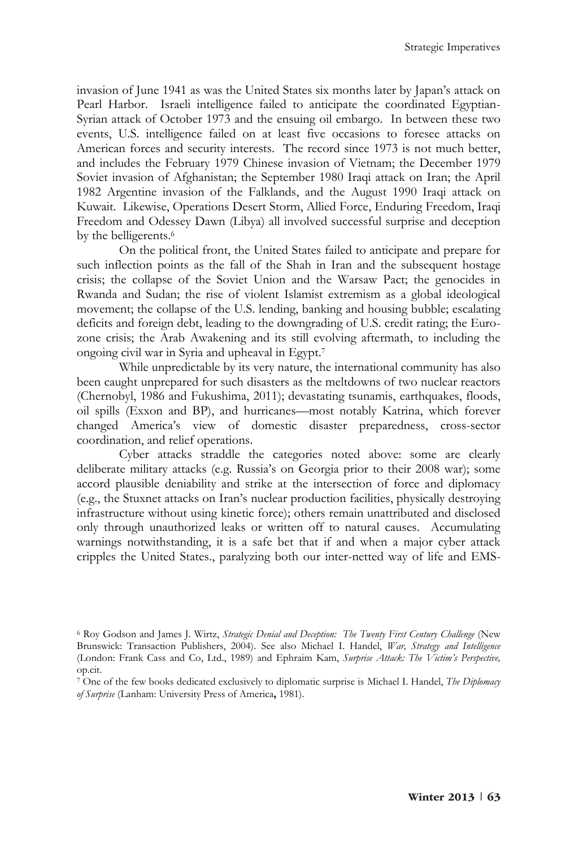invasion of June 1941 as was the United States six months later by Japan's attack on Pearl Harbor. Israeli intelligence failed to anticipate the coordinated Egyptian-Syrian attack of October 1973 and the ensuing oil embargo. In between these two events, U.S. intelligence failed on at least five occasions to foresee attacks on American forces and security interests. The record since 1973 is not much better, and includes the February 1979 Chinese invasion of Vietnam; the December 1979 Soviet invasion of Afghanistan; the September 1980 Iraqi attack on Iran; the April 1982 Argentine invasion of the Falklands, and the August 1990 Iraqi attack on Kuwait. Likewise, Operations Desert Storm, Allied Force, Enduring Freedom, Iraqi Freedom and Odessey Dawn (Libya) all involved successful surprise and deception by the belligerents.<sup>6</sup>

 On the political front, the United States failed to anticipate and prepare for such inflection points as the fall of the Shah in Iran and the subsequent hostage crisis; the collapse of the Soviet Union and the Warsaw Pact; the genocides in Rwanda and Sudan; the rise of violent Islamist extremism as a global ideological movement; the collapse of the U.S. lending, banking and housing bubble; escalating deficits and foreign debt, leading to the downgrading of U.S. credit rating; the Eurozone crisis; the Arab Awakening and its still evolving aftermath, to including the ongoing civil war in Syria and upheaval in Egypt.7

 While unpredictable by its very nature, the international community has also been caught unprepared for such disasters as the meltdowns of two nuclear reactors (Chernobyl, 1986 and Fukushima, 2011); devastating tsunamis, earthquakes, floods, oil spills (Exxon and BP), and hurricanes—most notably Katrina, which forever changed America's view of domestic disaster preparedness, cross-sector coordination, and relief operations.

 Cyber attacks straddle the categories noted above: some are clearly deliberate military attacks (e.g. Russia's on Georgia prior to their 2008 war); some accord plausible deniability and strike at the intersection of force and diplomacy (e.g., the Stuxnet attacks on Iran's nuclear production facilities, physically destroying infrastructure without using kinetic force); others remain unattributed and disclosed only through unauthorized leaks or written off to natural causes. Accumulating warnings notwithstanding, it is a safe bet that if and when a major cyber attack cripples the United States., paralyzing both our inter-netted way of life and EMS-

<sup>6</sup> Roy Godson and James J. Wirtz, *Strategic Denial and Deception: The Twenty First Century Challenge* (New Brunswick: Transaction Publishers, 2004). See also Michael I. Handel, *War, Strategy and Intelligence*  (London: Frank Cass and Co, Ltd., 1989) and Ephraim Kam, *Surprise Attack: The Victim's Perspective,*  op.cit.

<sup>7</sup> One of the few books dedicated exclusively to diplomatic surprise is Michael I. Handel, *The Diplomacy of Surprise* (Lanham: University Press of America**,** 1981)*.*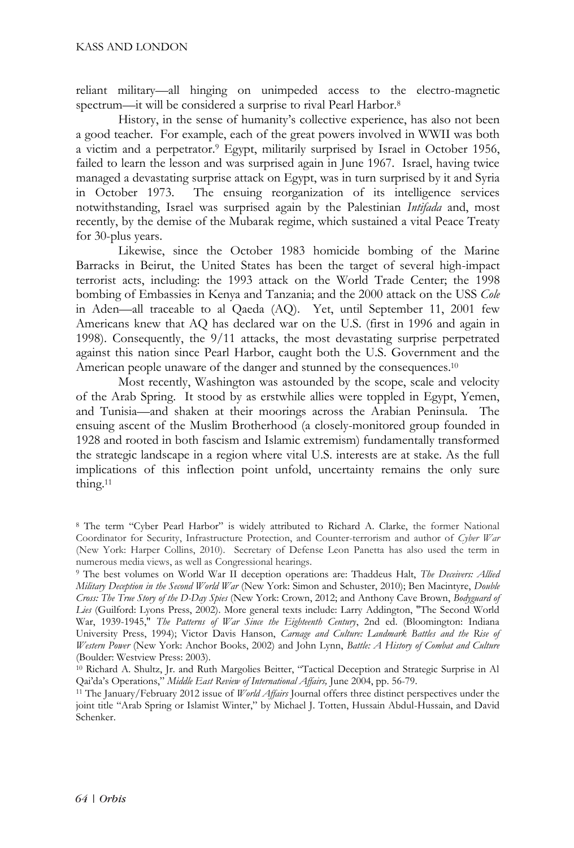reliant military—all hinging on unimpeded access to the electro-magnetic spectrum—it will be considered a surprise to rival Pearl Harbor.8

 History, in the sense of humanity's collective experience, has also not been a good teacher. For example, each of the great powers involved in WWII was both a victim and a perpetrator.9 Egypt, militarily surprised by Israel in October 1956, failed to learn the lesson and was surprised again in June 1967. Israel, having twice managed a devastating surprise attack on Egypt, was in turn surprised by it and Syria in October 1973. The ensuing reorganization of its intelligence services notwithstanding, Israel was surprised again by the Palestinian *Intifada* and, most recently, by the demise of the Mubarak regime, which sustained a vital Peace Treaty for 30-plus years.

 Likewise, since the October 1983 homicide bombing of the Marine Barracks in Beirut, the United States has been the target of several high-impact terrorist acts, including: the 1993 attack on the World Trade Center; the 1998 bombing of Embassies in Kenya and Tanzania; and the 2000 attack on the USS *Cole* in Aden—all traceable to al Qaeda (AQ). Yet, until September 11, 2001 few Americans knew that AQ has declared war on the U.S. (first in 1996 and again in 1998). Consequently, the 9/11 attacks, the most devastating surprise perpetrated against this nation since Pearl Harbor, caught both the U.S. Government and the American people unaware of the danger and stunned by the consequences.<sup>10</sup>

 Most recently, Washington was astounded by the scope, scale and velocity of the Arab Spring. It stood by as erstwhile allies were toppled in Egypt, Yemen, and Tunisia—and shaken at their moorings across the Arabian Peninsula. The ensuing ascent of the Muslim Brotherhood (a closely-monitored group founded in 1928 and rooted in both fascism and Islamic extremism) fundamentally transformed the strategic landscape in a region where vital U.S. interests are at stake. As the full implications of this inflection point unfold, uncertainty remains the only sure thing.11

<sup>8</sup> The term "Cyber Pearl Harbor" is widely attributed to Richard A. Clarke, the former National Coordinator for Security, Infrastructure Protection, and Counter-terrorism and author of *Cyber War*  (New York: Harper Collins, 2010). Secretary of Defense Leon Panetta has also used the term in numerous media views, as well as Congressional hearings.

<sup>9</sup> The best volumes on World War II deception operations are: Thaddeus Halt, *The Deceivers: Allied Military Deception in the Second World War* (New York: Simon and Schuster, 2010); Ben Macintyre, *Double Cross: The True Story of the D-Day Spies* (New York: Crown, 2012; and Anthony Cave Brown, *Bodyguard of Lies* (Guilford: Lyons Press, 2002). More general texts include: Larry Addington, "The Second World War, 1939-1945," *The Patterns of War Since the Eighteenth Century*, 2nd ed. (Bloomington: Indiana University Press, 1994); Victor Davis Hanson, *Carnage and Culture: Landmark Battles and the Rise of Western Power* (New York: Anchor Books, 2002) and John Lynn, *Battle: A History of Combat and Culture* (Boulder: Westview Press: 2003).

<sup>10</sup> Richard A. Shultz, Jr. and Ruth Margolies Beitter, "Tactical Deception and Strategic Surprise in Al

Qai'da's Operations," *Middle East Review of International Affairs,* June 2004, pp. 56-79. 11 The January/February 2012 issue of *World Affairs* Journal offers three distinct perspectives under the joint title "Arab Spring or Islamist Winter," by Michael J. Totten, Hussain Abdul-Hussain, and David Schenker.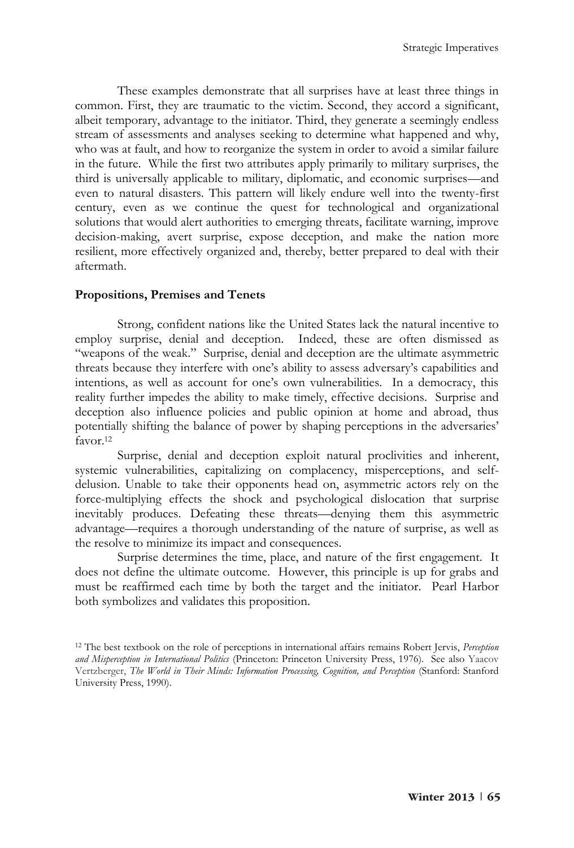These examples demonstrate that all surprises have at least three things in common. First, they are traumatic to the victim. Second, they accord a significant, albeit temporary, advantage to the initiator. Third, they generate a seemingly endless stream of assessments and analyses seeking to determine what happened and why, who was at fault, and how to reorganize the system in order to avoid a similar failure in the future. While the first two attributes apply primarily to military surprises, the third is universally applicable to military, diplomatic, and economic surprises—and even to natural disasters. This pattern will likely endure well into the twenty-first century, even as we continue the quest for technological and organizational solutions that would alert authorities to emerging threats, facilitate warning, improve decision-making, avert surprise, expose deception, and make the nation more resilient, more effectively organized and, thereby, better prepared to deal with their aftermath.

## **Propositions, Premises and Tenets**

Strong, confident nations like the United States lack the natural incentive to employ surprise, denial and deception. Indeed, these are often dismissed as "weapons of the weak." Surprise, denial and deception are the ultimate asymmetric threats because they interfere with one's ability to assess adversary's capabilities and intentions, as well as account for one's own vulnerabilities. In a democracy, this reality further impedes the ability to make timely, effective decisions. Surprise and deception also influence policies and public opinion at home and abroad, thus potentially shifting the balance of power by shaping perceptions in the adversaries' favor.12

Surprise, denial and deception exploit natural proclivities and inherent, systemic vulnerabilities, capitalizing on complacency, misperceptions, and selfdelusion. Unable to take their opponents head on, asymmetric actors rely on the force-multiplying effects the shock and psychological dislocation that surprise inevitably produces. Defeating these threats—denying them this asymmetric advantage—requires a thorough understanding of the nature of surprise, as well as the resolve to minimize its impact and consequences.

Surprise determines the time, place, and nature of the first engagement. It does not define the ultimate outcome. However, this principle is up for grabs and must be reaffirmed each time by both the target and the initiator. Pearl Harbor both symbolizes and validates this proposition.

<sup>12</sup> The best textbook on the role of perceptions in international affairs remains Robert Jervis, *Perception and Misperception in International Politics* (Princeton: Princeton University Press, 1976). See also Yaacov Vertzberger, *The World in Their Minds: Information Processing, Cognition, and Perception* (Stanford: Stanford University Press, 1990).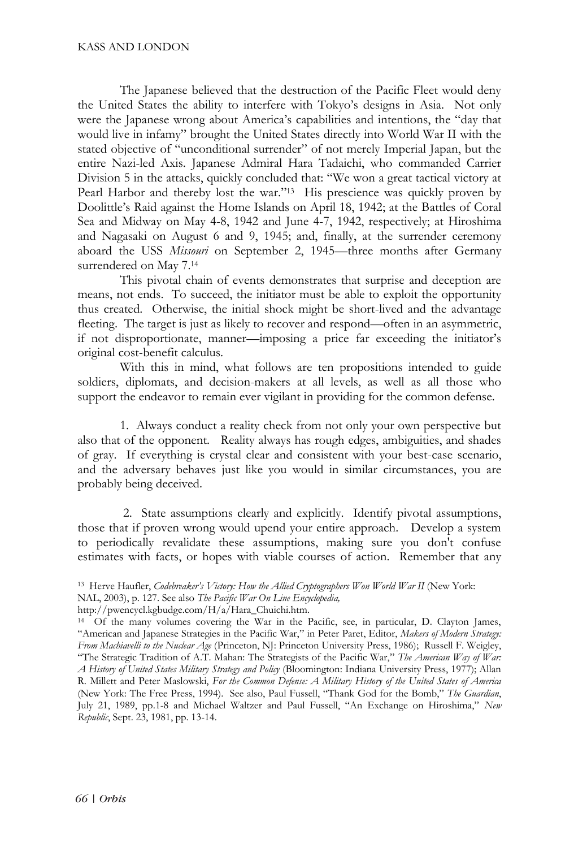The Japanese believed that the destruction of the Pacific Fleet would deny the United States the ability to interfere with Tokyo's designs in Asia. Not only were the Japanese wrong about America's capabilities and intentions, the "day that would live in infamy" brought the United States directly into World War II with the stated objective of "unconditional surrender" of not merely Imperial Japan, but the entire Nazi-led Axis. Japanese Admiral Hara Tadaichi, who commanded Carrier Division 5 in the attacks, quickly concluded that: "We won a great tactical victory at Pearl Harbor and thereby lost the war."<sup>13</sup> His prescience was quickly proven by Doolittle's Raid against the Home Islands on April 18, 1942; at the Battles of Coral Sea and Midway on May 4-8, 1942 and June 4-7, 1942, respectively; at Hiroshima and Nagasaki on August 6 and 9, 1945; and, finally, at the surrender ceremony aboard the USS *Missouri* on September 2, 1945—three months after Germany surrendered on May 7.14

This pivotal chain of events demonstrates that surprise and deception are means, not ends. To succeed, the initiator must be able to exploit the opportunity thus created. Otherwise, the initial shock might be short-lived and the advantage fleeting. The target is just as likely to recover and respond—often in an asymmetric, if not disproportionate, manner—imposing a price far exceeding the initiator's original cost-benefit calculus.

With this in mind, what follows are ten propositions intended to guide soldiers, diplomats, and decision-makers at all levels, as well as all those who support the endeavor to remain ever vigilant in providing for the common defense.

1. Always conduct a reality check from not only your own perspective but also that of the opponent. Reality always has rough edges, ambiguities, and shades of gray. If everything is crystal clear and consistent with your best-case scenario, and the adversary behaves just like you would in similar circumstances, you are probably being deceived.

 2. State assumptions clearly and explicitly. Identify pivotal assumptions, those that if proven wrong would upend your entire approach. Develop a system to periodically revalidate these assumptions, making sure you don't confuse estimates with facts, or hopes with viable courses of action. Remember that any

<sup>&</sup>lt;sup>13</sup> Herve Haufler, *Codebreaker's Victory: How the Allied Cryptographers Won World War II* (New York:

NAL, 2003), p. 127. See also *The Pacific War On Line Encyclopedia,* 

http://pwencycl.kgbudge.com/H/a/Hara\_Chuichi.htm.

<sup>14</sup> Of the many volumes covering the War in the Pacific, see, in particular, D. Clayton James, "American and Japanese Strategies in the Pacific War," in Peter Paret, Editor, *Makers of Modern Strategy: From Machiavelli to the Nuclear Age* (Princeton, NJ: Princeton University Press, 1986); Russell F. Weigley, "The Strategic Tradition of A.T. Mahan: The Strategists of the Pacific War," *The American Way of War: A History of United States Military Strategy and Policy* (Bloomington: Indiana University Press, 1977); Allan R. Millett and Peter Maslowski, *For the Common Defense: A Military History of the United States of America* (New York: The Free Press, 1994). See also, Paul Fussell, "Thank God for the Bomb," *The Guardian*, July 21, 1989, pp.1-8 and Michael Waltzer and Paul Fussell, "An Exchange on Hiroshima," *New Republic*, Sept. 23, 1981, pp. 13-14.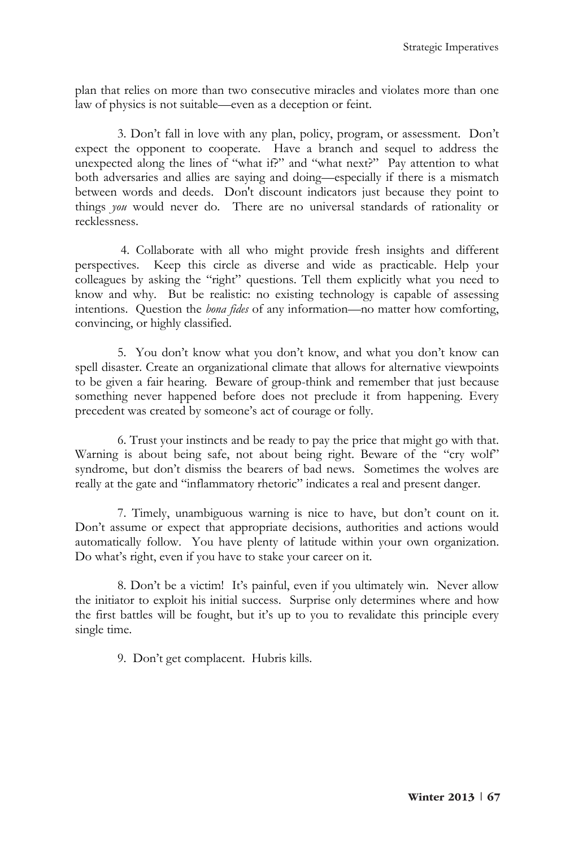plan that relies on more than two consecutive miracles and violates more than one law of physics is not suitable—even as a deception or feint.

3. Don't fall in love with any plan, policy, program, or assessment. Don't expect the opponent to cooperate. Have a branch and sequel to address the unexpected along the lines of "what if?" and "what next?" Pay attention to what both adversaries and allies are saying and doing—especially if there is a mismatch between words and deeds. Don't discount indicators just because they point to things *you* would never do. There are no universal standards of rationality or recklessness.

 4. Collaborate with all who might provide fresh insights and different perspectives. Keep this circle as diverse and wide as practicable. Help your colleagues by asking the "right" questions. Tell them explicitly what you need to know and why. But be realistic: no existing technology is capable of assessing intentions. Question the *bona fides* of any information—no matter how comforting, convincing, or highly classified.

5. You don't know what you don't know, and what you don't know can spell disaster. Create an organizational climate that allows for alternative viewpoints to be given a fair hearing. Beware of group-think and remember that just because something never happened before does not preclude it from happening. Every precedent was created by someone's act of courage or folly.

6. Trust your instincts and be ready to pay the price that might go with that. Warning is about being safe, not about being right. Beware of the "cry wolf" syndrome, but don't dismiss the bearers of bad news. Sometimes the wolves are really at the gate and "inflammatory rhetoric" indicates a real and present danger.

7. Timely, unambiguous warning is nice to have, but don't count on it. Don't assume or expect that appropriate decisions, authorities and actions would automatically follow. You have plenty of latitude within your own organization. Do what's right, even if you have to stake your career on it.

8. Don't be a victim! It's painful, even if you ultimately win. Never allow the initiator to exploit his initial success. Surprise only determines where and how the first battles will be fought, but it's up to you to revalidate this principle every single time.

9. Don't get complacent. Hubris kills.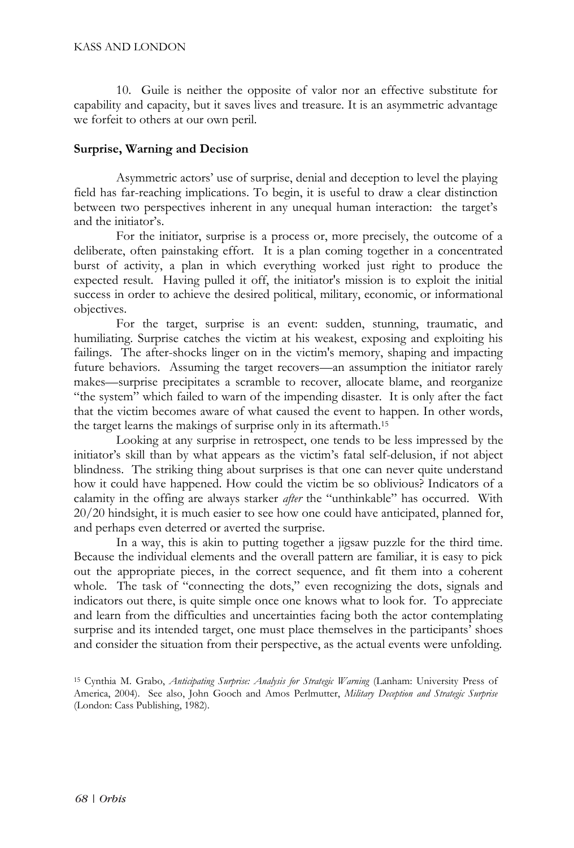10. Guile is neither the opposite of valor nor an effective substitute for capability and capacity, but it saves lives and treasure. It is an asymmetric advantage we forfeit to others at our own peril.

## **Surprise, Warning and Decision**

Asymmetric actors' use of surprise, denial and deception to level the playing field has far-reaching implications. To begin, it is useful to draw a clear distinction between two perspectives inherent in any unequal human interaction: the target's and the initiator's.

 For the initiator, surprise is a process or, more precisely, the outcome of a deliberate, often painstaking effort. It is a plan coming together in a concentrated burst of activity, a plan in which everything worked just right to produce the expected result. Having pulled it off, the initiator's mission is to exploit the initial success in order to achieve the desired political, military, economic, or informational objectives.

 For the target, surprise is an event: sudden, stunning, traumatic, and humiliating. Surprise catches the victim at his weakest, exposing and exploiting his failings. The after-shocks linger on in the victim's memory, shaping and impacting future behaviors. Assuming the target recovers—an assumption the initiator rarely makes—surprise precipitates a scramble to recover, allocate blame, and reorganize "the system" which failed to warn of the impending disaster. It is only after the fact that the victim becomes aware of what caused the event to happen. In other words, the target learns the makings of surprise only in its aftermath.15

 Looking at any surprise in retrospect, one tends to be less impressed by the initiator's skill than by what appears as the victim's fatal self-delusion, if not abject blindness. The striking thing about surprises is that one can never quite understand how it could have happened. How could the victim be so oblivious? Indicators of a calamity in the offing are always starker *after* the "unthinkable" has occurred. With 20/20 hindsight, it is much easier to see how one could have anticipated, planned for, and perhaps even deterred or averted the surprise.

 In a way, this is akin to putting together a jigsaw puzzle for the third time. Because the individual elements and the overall pattern are familiar, it is easy to pick out the appropriate pieces, in the correct sequence, and fit them into a coherent whole. The task of "connecting the dots," even recognizing the dots, signals and indicators out there, is quite simple once one knows what to look for. To appreciate and learn from the difficulties and uncertainties facing both the actor contemplating surprise and its intended target, one must place themselves in the participants' shoes and consider the situation from their perspective, as the actual events were unfolding.

<sup>&</sup>lt;sup>15</sup> Cynthia M. Grabo, *Anticipating Surprise: Analysis for Strategic Warning (Lanham: University Press of* America, 2004). See also, John Gooch and Amos Perlmutter, *Military Deception and Strategic Surprise* (London: Cass Publishing, 1982).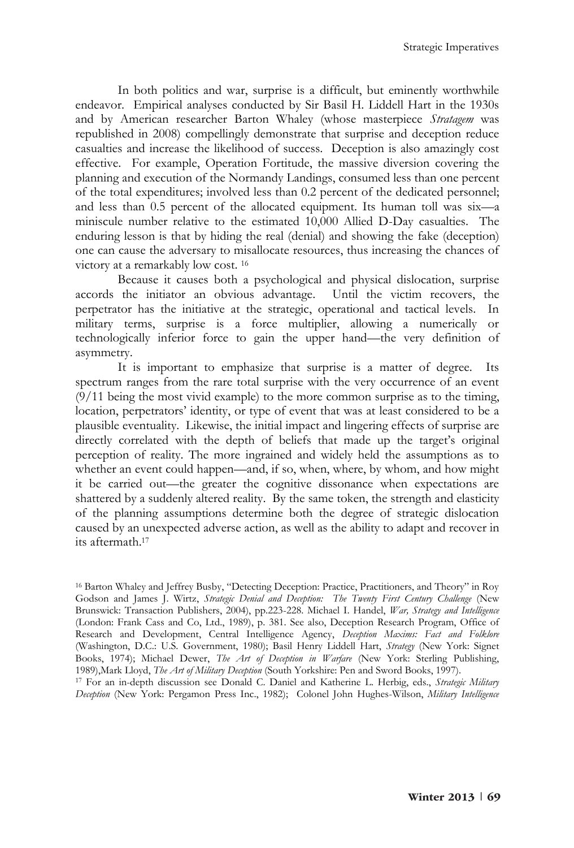In both politics and war, surprise is a difficult, but eminently worthwhile endeavor. Empirical analyses conducted by Sir Basil H. Liddell Hart in the 1930s and by American researcher Barton Whaley (whose masterpiece *Stratagem* was republished in 2008) compellingly demonstrate that surprise and deception reduce casualties and increase the likelihood of success. Deception is also amazingly cost effective. For example, Operation Fortitude, the massive diversion covering the planning and execution of the Normandy Landings, consumed less than one percent of the total expenditures; involved less than 0.2 percent of the dedicated personnel; and less than 0.5 percent of the allocated equipment. Its human toll was six—a miniscule number relative to the estimated 10,000 Allied D-Day casualties. The enduring lesson is that by hiding the real (denial) and showing the fake (deception) one can cause the adversary to misallocate resources, thus increasing the chances of victory at a remarkably low cost. 16

 Because it causes both a psychological and physical dislocation, surprise accords the initiator an obvious advantage. Until the victim recovers, the perpetrator has the initiative at the strategic, operational and tactical levels. In military terms, surprise is a force multiplier, allowing a numerically or technologically inferior force to gain the upper hand—the very definition of asymmetry.

 It is important to emphasize that surprise is a matter of degree. Its spectrum ranges from the rare total surprise with the very occurrence of an event (9/11 being the most vivid example) to the more common surprise as to the timing, location, perpetrators' identity, or type of event that was at least considered to be a plausible eventuality. Likewise, the initial impact and lingering effects of surprise are directly correlated with the depth of beliefs that made up the target's original perception of reality. The more ingrained and widely held the assumptions as to whether an event could happen—and, if so, when, where, by whom, and how might it be carried out—the greater the cognitive dissonance when expectations are shattered by a suddenly altered reality. By the same token, the strength and elasticity of the planning assumptions determine both the degree of strategic dislocation caused by an unexpected adverse action, as well as the ability to adapt and recover in its aftermath.17

<sup>16</sup> Barton Whaley and Jeffrey Busby, "Detecting Deception: Practice, Practitioners, and Theory" in Roy Godson and James J. Wirtz, *Strategic Denial and Deception: The Twenty First Century Challenge* (New Brunswick: Transaction Publishers, 2004), pp.223-228. Michael I. Handel, *War, Strategy and Intelligence*  (London: Frank Cass and Co, Ltd., 1989), p. 381. See also, Deception Research Program, Office of Research and Development, Central Intelligence Agency, *Deception Maxims: Fact and Folklore*  (Washington, D.C.: U.S. Government, 1980); Basil Henry Liddell Hart, *Strategy* (New York: Signet Books, 1974); Michael Dewer, *The Art of Deception in Warfare* (New York: Sterling Publishing, 1989),Mark Lloyd, *The Art of Military Deception* (South Yorkshire: Pen and Sword Books, 1997). 17 For an in-depth discussion see Donald C. Daniel and Katherine L. Herbig, eds., *Strategic Military* 

*Deception* (New York: Pergamon Press Inc., 1982); Colonel John Hughes-Wilson, *Military Intelligence*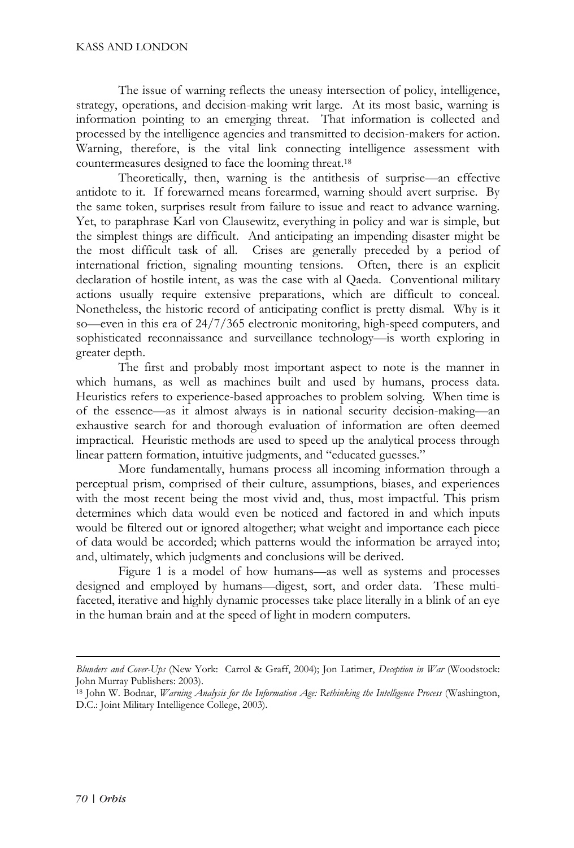The issue of warning reflects the uneasy intersection of policy, intelligence, strategy, operations, and decision-making writ large. At its most basic, warning is information pointing to an emerging threat. That information is collected and processed by the intelligence agencies and transmitted to decision-makers for action. Warning, therefore, is the vital link connecting intelligence assessment with countermeasures designed to face the looming threat.18

 Theoretically, then, warning is the antithesis of surprise—an effective antidote to it. If forewarned means forearmed, warning should avert surprise. By the same token, surprises result from failure to issue and react to advance warning. Yet, to paraphrase Karl von Clausewitz, everything in policy and war is simple, but the simplest things are difficult. And anticipating an impending disaster might be the most difficult task of all. Crises are generally preceded by a period of international friction, signaling mounting tensions. Often, there is an explicit declaration of hostile intent, as was the case with al Qaeda. Conventional military actions usually require extensive preparations, which are difficult to conceal. Nonetheless, the historic record of anticipating conflict is pretty dismal. Why is it so—even in this era of 24/7/365 electronic monitoring, high-speed computers, and sophisticated reconnaissance and surveillance technology—is worth exploring in greater depth.

The first and probably most important aspect to note is the manner in which humans, as well as machines built and used by humans, process data. Heuristics refers to experience-based approaches to problem solving*.* When time is of the essence—as it almost always is in national security decision-making—an exhaustive search for and thorough evaluation of information are often deemed impractical. Heuristic methods are used to speed up the analytical process through linear pattern formation, intuitive judgments, and "educated guesses."

More fundamentally, humans process all incoming information through a perceptual prism, comprised of their culture, assumptions, biases, and experiences with the most recent being the most vivid and, thus, most impactful. This prism determines which data would even be noticed and factored in and which inputs would be filtered out or ignored altogether; what weight and importance each piece of data would be accorded; which patterns would the information be arrayed into; and, ultimately, which judgments and conclusions will be derived.

 Figure 1 is a model of how humans—as well as systems and processes designed and employed by humans—digest, sort, and order data. These multifaceted, iterative and highly dynamic processes take place literally in a blink of an eye in the human brain and at the speed of light in modern computers.

 $\overline{a}$ 

*Blunders and Cover-Ups* (New York: Carrol & Graff, 2004); Jon Latimer, *Deception in War* (Woodstock: John Murray Publishers: 2003).

<sup>18</sup> John W. Bodnar, *Warning Analysis for the Information Age: Rethinking the Intelligence Process* (Washington, D.C.: Joint Military Intelligence College, 2003).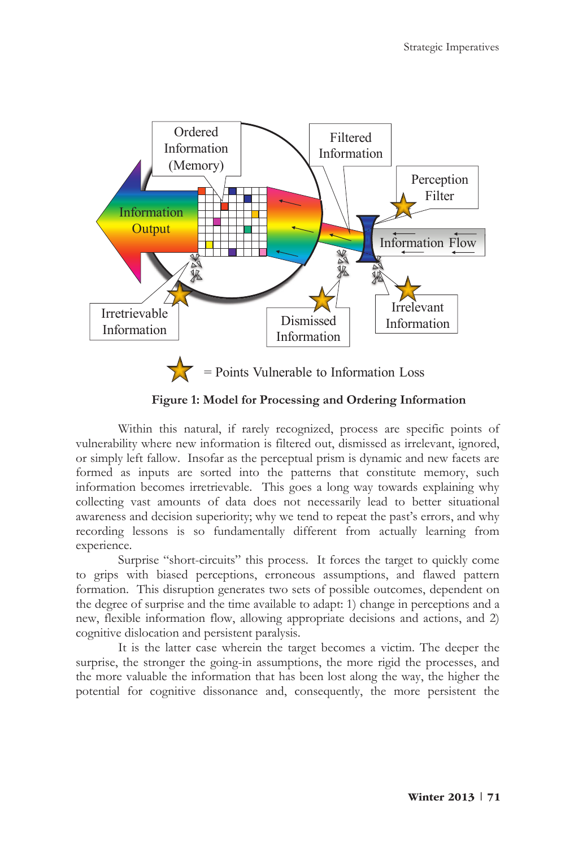

**Figure 1: Model for Processing and Ordering Information** 

 Within this natural, if rarely recognized, process are specific points of vulnerability where new information is filtered out, dismissed as irrelevant, ignored, or simply left fallow. Insofar as the perceptual prism is dynamic and new facets are formed as inputs are sorted into the patterns that constitute memory, such information becomes irretrievable. This goes a long way towards explaining why collecting vast amounts of data does not necessarily lead to better situational awareness and decision superiority; why we tend to repeat the past's errors, and why recording lessons is so fundamentally different from actually learning from experience.

 Surprise "short-circuits" this process. It forces the target to quickly come to grips with biased perceptions, erroneous assumptions, and flawed pattern formation. This disruption generates two sets of possible outcomes, dependent on the degree of surprise and the time available to adapt: 1) change in perceptions and a new, flexible information flow, allowing appropriate decisions and actions, and 2) cognitive dislocation and persistent paralysis.

 It is the latter case wherein the target becomes a victim. The deeper the surprise, the stronger the going-in assumptions, the more rigid the processes, and the more valuable the information that has been lost along the way, the higher the potential for cognitive dissonance and, consequently, the more persistent the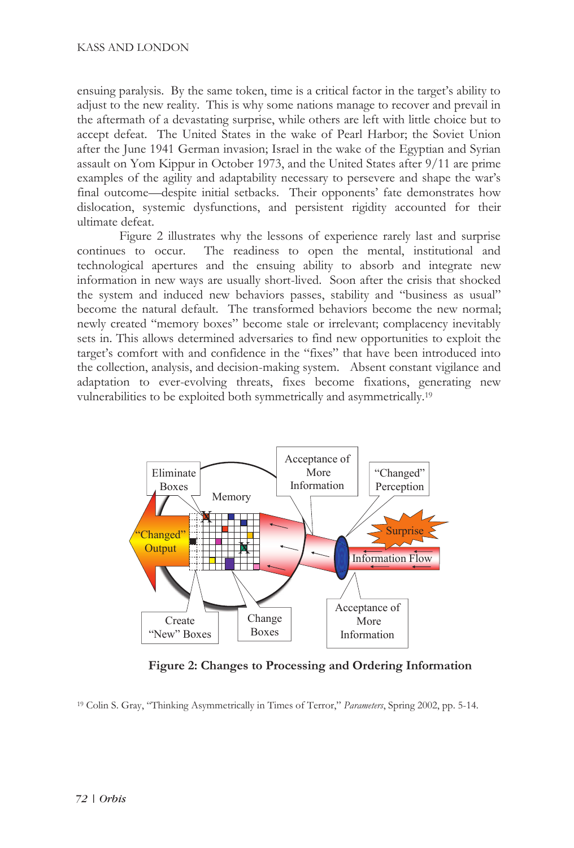ensuing paralysis. By the same token, time is a critical factor in the target's ability to adjust to the new reality. This is why some nations manage to recover and prevail in the aftermath of a devastating surprise, while others are left with little choice but to accept defeat. The United States in the wake of Pearl Harbor; the Soviet Union after the June 1941 German invasion; Israel in the wake of the Egyptian and Syrian assault on Yom Kippur in October 1973, and the United States after 9/11 are prime examples of the agility and adaptability necessary to persevere and shape the war's final outcome—despite initial setbacks. Their opponents' fate demonstrates how dislocation, systemic dysfunctions, and persistent rigidity accounted for their ultimate defeat.

Figure 2 illustrates why the lessons of experience rarely last and surprise continues to occur. The readiness to open the mental, institutional and technological apertures and the ensuing ability to absorb and integrate new information in new ways are usually short-lived.Soon after the crisis that shocked the system and induced new behaviors passes, stability and "business as usual" become the natural default. The transformed behaviors become the new normal; newly created "memory boxes" become stale or irrelevant; complacency inevitably sets in. This allows determined adversaries to find new opportunities to exploit the target's comfort with and confidence in the "fixes" that have been introduced into the collection, analysis, and decision-making system. Absent constant vigilance and adaptation to ever-evolving threats, fixes become fixations, generating new vulnerabilities to be exploited both symmetrically and asymmetrically.19



**Figure 2: Changes to Processing and Ordering Information** 

19 Colin S. Gray, "Thinking Asymmetrically in Times of Terror," *Parameters*, Spring 2002, pp. 5-14.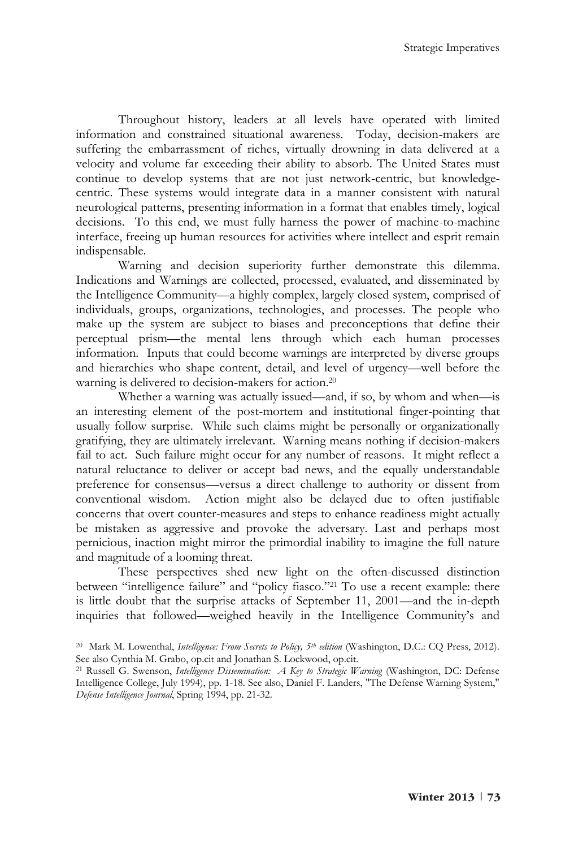Throughout history, leaders at all levels have operated with limited information and constrained situational awareness. Today, decision-makers are suffering the embarrassment of riches, virtually drowning in data delivered at a velocity and volume far exceeding their ability to absorb. The United States must continue to develop systems that are not just network-centric, but knowledgecentric. These systems would integrate data in a manner consistent with natural neurological patterns, presenting information in a format that enables timely, logical decisions. To this end, we must fully harness the power of machine-to-machine interface, freeing up human resources for activities where intellect and esprit remain indispensable.

 Warning and decision superiority further demonstrate this dilemma. Indications and Warnings are collected, processed, evaluated, and disseminated by the Intelligence Community—a highly complex, largely closed system, comprised of individuals, groups, organizations, technologies, and processes. The people who make up the system are subject to biases and preconceptions that define their perceptual prism—the mental lens through which each human processes information. Inputs that could become warnings are interpreted by diverse groups and hierarchies who shape content, detail, and level of urgency—well before the warning is delivered to decision-makers for action.20

 Whether a warning was actually issued—and, if so, by whom and when—is an interesting element of the post-mortem and institutional finger-pointing that usually follow surprise. While such claims might be personally or organizationally gratifying, they are ultimately irrelevant. Warning means nothing if decision-makers fail to act. Such failure might occur for any number of reasons. It might reflect a natural reluctance to deliver or accept bad news, and the equally understandable preference for consensus—versus a direct challenge to authority or dissent from conventional wisdom. Action might also be delayed due to often justifiable concerns that overt counter-measures and steps to enhance readiness might actually be mistaken as aggressive and provoke the adversary. Last and perhaps most pernicious, inaction might mirror the primordial inability to imagine the full nature and magnitude of a looming threat.

These perspectives shed new light on the often-discussed distinction between "intelligence failure" and "policy fiasco."21 To use a recent example: there is little doubt that the surprise attacks of September 11, 2001—and the in-depth inquiries that followed—weighed heavily in the Intelligence Community's and

<sup>20</sup> Mark M. Lowenthal, *Intelligence: From Secrets to Policy, 5th edition* (Washington, D.C.: CQ Press, 2012). See also Cynthia M. Grabo, op.cit and Jonathan S. Lockwood, op.cit.

<sup>21</sup> Russell G. Swenson, *Intelligence Dissemination: A Key to Strategic Warning* (Washington, DC: Defense Intelligence College, July 1994), pp. 1-18. See also, Daniel F. Landers, "The Defense Warning System," *Defense Intelligence Journal*, Spring 1994, pp. 21-32.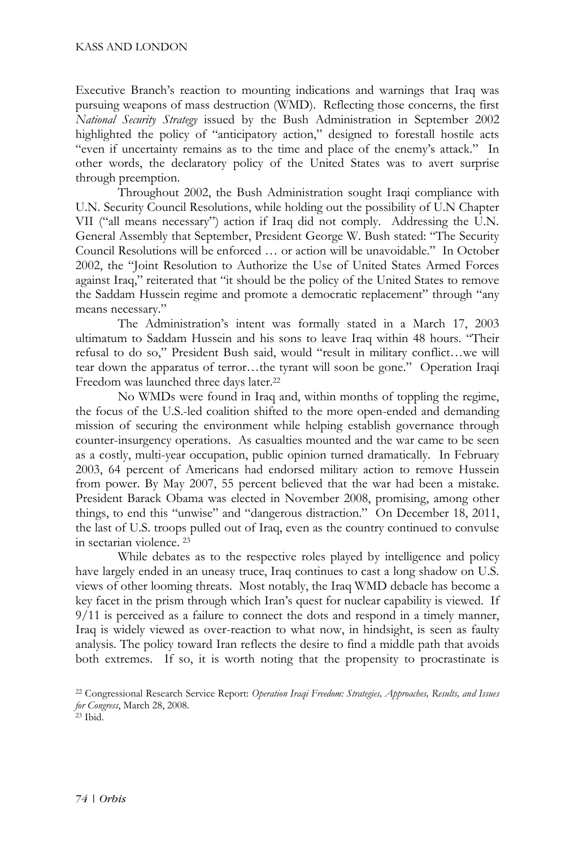Executive Branch's reaction to mounting indications and warnings that Iraq was pursuing weapons of mass destruction (WMD). Reflecting those concerns, the first *National Security Strategy* issued by the Bush Administration in September 2002 highlighted the policy of "anticipatory action," designed to forestall hostile acts "even if uncertainty remains as to the time and place of the enemy's attack." In other words, the declaratory policy of the United States was to avert surprise through preemption.

Throughout 2002, the Bush Administration sought Iraqi compliance with U.N. Security Council Resolutions, while holding out the possibility of U.N Chapter VII ("all means necessary") action if Iraq did not comply. Addressing the U.N. General Assembly that September, President George W. Bush stated: "The Security Council Resolutions will be enforced … or action will be unavoidable." In October 2002, the "Joint Resolution to Authorize the Use of United States Armed Forces against Iraq," reiterated that "it should be the policy of the United States to remove the Saddam Hussein regime and promote a democratic replacement" through "any means necessary."

The Administration's intent was formally stated in a March 17, 2003 ultimatum to Saddam Hussein and his sons to leave Iraq within 48 hours. "Their refusal to do so," President Bush said, would "result in military conflict…we will tear down the apparatus of terror…the tyrant will soon be gone." Operation Iraqi Freedom was launched three days later.<sup>22</sup>

No WMDs were found in Iraq and, within months of toppling the regime, the focus of the U.S.-led coalition shifted to the more open-ended and demanding mission of securing the environment while helping establish governance through counter-insurgency operations. As casualties mounted and the war came to be seen as a costly, multi-year occupation, public opinion turned dramatically. In February 2003, 64 percent of Americans had endorsed military action to remove Hussein from power. By May 2007, 55 percent believed that the war had been a mistake. President Barack Obama was elected in November 2008, promising, among other things, to end this "unwise" and "dangerous distraction." On December 18, 2011, the last of U.S. troops pulled out of Iraq, even as the country continued to convulse in sectarian violence. 23

While debates as to the respective roles played by intelligence and policy have largely ended in an uneasy truce, Iraq continues to cast a long shadow on U.S. views of other looming threats. Most notably, the Iraq WMD debacle has become a key facet in the prism through which Iran's quest for nuclear capability is viewed. If 9/11 is perceived as a failure to connect the dots and respond in a timely manner, Iraq is widely viewed as over-reaction to what now, in hindsight, is seen as faulty analysis. The policy toward Iran reflects the desire to find a middle path that avoids both extremes. If so, it is worth noting that the propensity to procrastinate is

<sup>22</sup> Congressional Research Service Report: *Operation Iraqi Freedom: Strategies, Approaches, Results, and Issues for Congress*, March 28, 2008. 23 Ibid.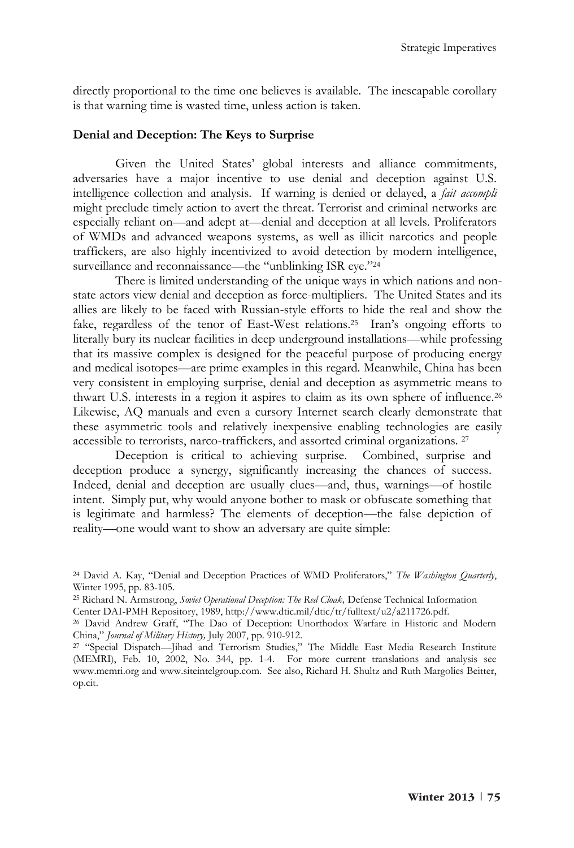directly proportional to the time one believes is available. The inescapable corollary is that warning time is wasted time, unless action is taken.

#### **Denial and Deception: The Keys to Surprise**

 Given the United States' global interests and alliance commitments, adversaries have a major incentive to use denial and deception against U.S. intelligence collection and analysis. If warning is denied or delayed, a *fait accompli*  might preclude timely action to avert the threat. Terrorist and criminal networks are especially reliant on—and adept at—denial and deception at all levels. Proliferators of WMDs and advanced weapons systems, as well as illicit narcotics and people traffickers, are also highly incentivized to avoid detection by modern intelligence, surveillance and reconnaissance—the "unblinking ISR eye."24

 There is limited understanding of the unique ways in which nations and nonstate actors view denial and deception as force-multipliers. The United States and its allies are likely to be faced with Russian-style efforts to hide the real and show the fake, regardless of the tenor of East-West relations.<sup>25</sup> Iran's ongoing efforts to literally bury its nuclear facilities in deep underground installations—while professing that its massive complex is designed for the peaceful purpose of producing energy and medical isotopes—are prime examples in this regard. Meanwhile, China has been very consistent in employing surprise, denial and deception as asymmetric means to thwart U.S. interests in a region it aspires to claim as its own sphere of influence.26 Likewise, AQ manuals and even a cursory Internet search clearly demonstrate that these asymmetric tools and relatively inexpensive enabling technologies are easily accessible to terrorists, narco-traffickers, and assorted criminal organizations. 27

 Deception is critical to achieving surprise. Combined, surprise and deception produce a synergy, significantly increasing the chances of success. Indeed, denial and deception are usually clues—and, thus, warnings—of hostile intent. Simply put, why would anyone bother to mask or obfuscate something that is legitimate and harmless? The elements of deception—the false depiction of reality—one would want to show an adversary are quite simple:

<sup>24</sup> David A. Kay, "Denial and Deception Practices of WMD Proliferators," *The Washington Quarterly*, Winter 1995, pp. 83-105.

<sup>&</sup>lt;sup>25</sup> Richard N. Armstrong, *Soviet Operational Deception: The Red Cloak*, Defense Technical Information<br>Center DAI-PMH Repository, 1989, http://www.dtic.mil/dtic/tr/fulltext/u2/a211726.pdf.

<sup>&</sup>lt;sup>26</sup> David Andrew Graff, "The Dao of Deception: Unorthodox Warfare in Historic and Modern China," *Journal of Military History,* July 2007, pp. 910-912. 27 "Special Dispatch—Jihad and Terrorism Studies," The Middle East Media Research Institute

<sup>(</sup>MEMRI), Feb. 10, 2002, No. 344, pp. 1-4. For more current translations and analysis see www.memri.org and www.siteintelgroup.com. See also, Richard H. Shultz and Ruth Margolies Beitter, op.cit.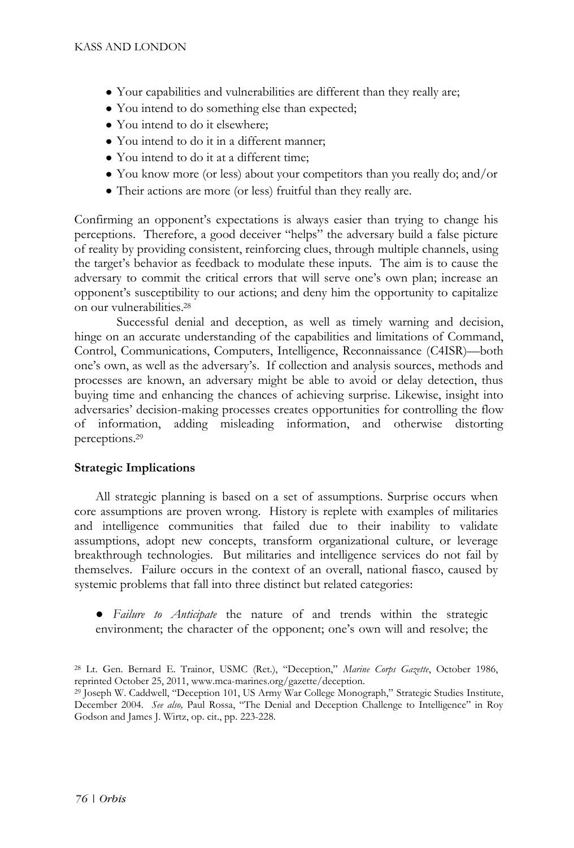- Your capabilities and vulnerabilities are different than they really are;
- You intend to do something else than expected;
- You intend to do it elsewhere;
- You intend to do it in a different manner:
- You intend to do it at a different time;
- You know more (or less) about your competitors than you really do; and/or
- Their actions are more (or less) fruitful than they really are.

Confirming an opponent's expectations is always easier than trying to change his perceptions. Therefore, a good deceiver "helps" the adversary build a false picture of reality by providing consistent, reinforcing clues, through multiple channels, using the target's behavior as feedback to modulate these inputs. The aim is to cause the adversary to commit the critical errors that will serve one's own plan; increase an opponent's susceptibility to our actions; and deny him the opportunity to capitalize on our vulnerabilities.28

 Successful denial and deception, as well as timely warning and decision, hinge on an accurate understanding of the capabilities and limitations of Command, Control, Communications, Computers, Intelligence, Reconnaissance (C4ISR)—both one's own, as well as the adversary's. If collection and analysis sources, methods and processes are known, an adversary might be able to avoid or delay detection, thus buying time and enhancing the chances of achieving surprise. Likewise, insight into adversaries' decision-making processes creates opportunities for controlling the flow of information, adding misleading information, and otherwise distorting perceptions.29

## **Strategic Implications**

All strategic planning is based on a set of assumptions. Surprise occurs when core assumptions are proven wrong. History is replete with examples of militaries and intelligence communities that failed due to their inability to validate assumptions, adopt new concepts, transform organizational culture, or leverage breakthrough technologies. But militaries and intelligence services do not fail by themselves. Failure occurs in the context of an overall, national fiasco, caused by systemic problems that fall into three distinct but related categories:

*● Failure to Anticipate* the nature of and trends within the strategic environment; the character of the opponent; one's own will and resolve; the

<sup>28</sup> Lt. Gen. Bernard E. Trainor, USMC (Ret.), "Deception," *Marine Corps Gazette*, October 1986, reprinted October 25, 2011, www.mca-marines.org/gazette/deception. 29 Joseph W. Caddwell, "Deception 101, US Army War College Monograph," Strategic Studies Institute,

December 2004. *See also,* Paul Rossa, "The Denial and Deception Challenge to Intelligence" in Roy Godson and James J. Wirtz, op. cit., pp. 223-228.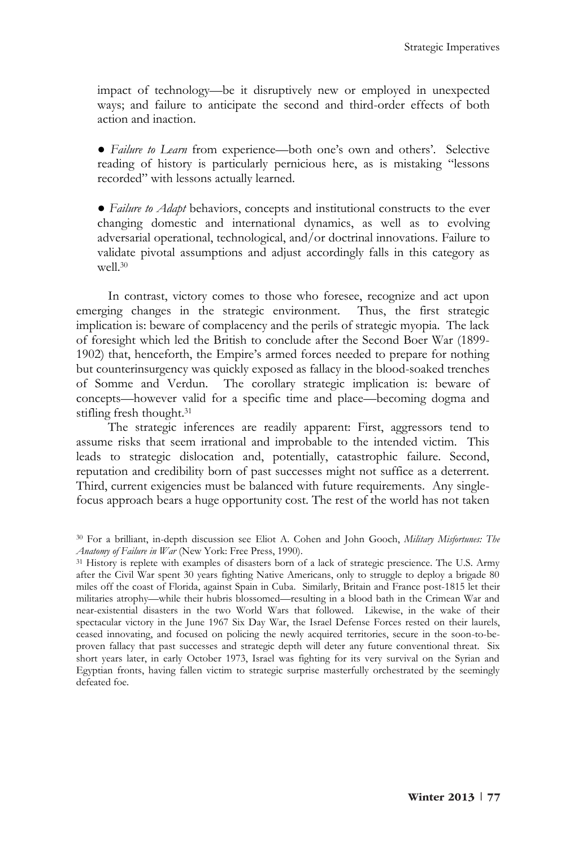impact of technology—be it disruptively new or employed in unexpected ways; and failure to anticipate the second and third-order effects of both action and inaction.

*● Failure to Learn* from experience—both one's own and others'. Selective reading of history is particularly pernicious here, as is mistaking "lessons recorded" with lessons actually learned.

*● Failure to Adapt* behaviors, concepts and institutional constructs to the ever changing domestic and international dynamics, as well as to evolving adversarial operational, technological, and/or doctrinal innovations. Failure to validate pivotal assumptions and adjust accordingly falls in this category as well.30

 In contrast, victory comes to those who foresee, recognize and act upon emerging changes in the strategic environment. Thus, the first strategic implication is: beware of complacency and the perils of strategic myopia. The lack of foresight which led the British to conclude after the Second Boer War (1899- 1902) that, henceforth, the Empire's armed forces needed to prepare for nothing but counterinsurgency was quickly exposed as fallacy in the blood-soaked trenches of Somme and Verdun. The corollary strategic implication is: beware of concepts—however valid for a specific time and place—becoming dogma and stifling fresh thought.31

 The strategic inferences are readily apparent: First, aggressors tend to assume risks that seem irrational and improbable to the intended victim. This leads to strategic dislocation and, potentially, catastrophic failure. Second, reputation and credibility born of past successes might not suffice as a deterrent. Third, current exigencies must be balanced with future requirements. Any singlefocus approach bears a huge opportunity cost. The rest of the world has not taken

<sup>30</sup> For a brilliant, in-depth discussion see Eliot A. Cohen and John Gooch, *Military Misfortunes: The Anatomy of Failure in War* (New York: Free Press, 1990). 31 History is replete with examples of disasters born of a lack of strategic prescience. The U.S. Army

after the Civil War spent 30 years fighting Native Americans, only to struggle to deploy a brigade 80 miles off the coast of Florida, against Spain in Cuba. Similarly, Britain and France post-1815 let their militaries atrophy—while their hubris blossomed—resulting in a blood bath in the Crimean War and near-existential disasters in the two World Wars that followed. Likewise, in the wake of their spectacular victory in the June 1967 Six Day War, the Israel Defense Forces rested on their laurels, ceased innovating, and focused on policing the newly acquired territories, secure in the soon-to-beproven fallacy that past successes and strategic depth will deter any future conventional threat. Six short years later, in early October 1973, Israel was fighting for its very survival on the Syrian and Egyptian fronts, having fallen victim to strategic surprise masterfully orchestrated by the seemingly defeated foe.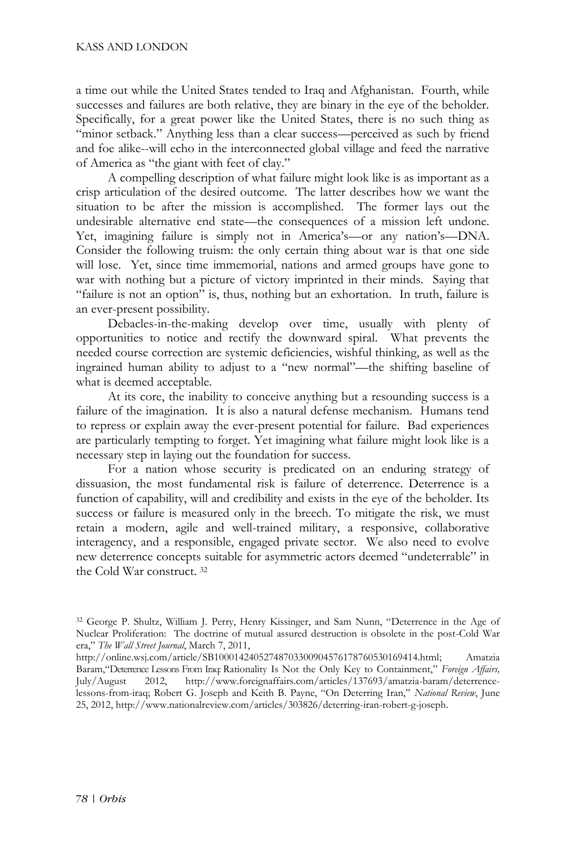a time out while the United States tended to Iraq and Afghanistan. Fourth, while successes and failures are both relative, they are binary in the eye of the beholder. Specifically, for a great power like the United States, there is no such thing as "minor setback." Anything less than a clear success—perceived as such by friend and foe alike--will echo in the interconnected global village and feed the narrative of America as "the giant with feet of clay."

 A compelling description of what failure might look like is as important as a crisp articulation of the desired outcome. The latter describes how we want the situation to be after the mission is accomplished. The former lays out the undesirable alternative end state—the consequences of a mission left undone. Yet, imagining failure is simply not in America's—or any nation's—DNA. Consider the following truism: the only certain thing about war is that one side will lose. Yet, since time immemorial, nations and armed groups have gone to war with nothing but a picture of victory imprinted in their minds. Saying that "failure is not an option" is, thus, nothing but an exhortation. In truth, failure is an ever-present possibility.

 Debacles-in-the-making develop over time, usually with plenty of opportunities to notice and rectify the downward spiral. What prevents the needed course correction are systemic deficiencies, wishful thinking, as well as the ingrained human ability to adjust to a "new normal"—the shifting baseline of what is deemed acceptable.

 At its core, the inability to conceive anything but a resounding success is a failure of the imagination. It is also a natural defense mechanism. Humans tend to repress or explain away the ever-present potential for failure. Bad experiences are particularly tempting to forget. Yet imagining what failure might look like is a necessary step in laying out the foundation for success.

 For a nation whose security is predicated on an enduring strategy of dissuasion, the most fundamental risk is failure of deterrence. Deterrence is a function of capability, will and credibility and exists in the eye of the beholder. Its success or failure is measured only in the breech. To mitigate the risk, we must retain a modern, agile and well-trained military, a responsive, collaborative interagency, and a responsible, engaged private sector. We also need to evolve new deterrence concepts suitable for asymmetric actors deemed "undeterrable" in the Cold War construct. 32

<sup>32</sup> George P. Shultz, William J. Perry, Henry Kissinger, and Sam Nunn, "Deterrence in the Age of Nuclear Proliferation: The doctrine of mutual assured destruction is obsolete in the post-Cold War era," *The Wall Street Journal*, March 7, 2011,

http://online.wsj.com/article/SB10001424052748703300904576178760530169414.html; Amatzia Baram,"Deterrence Lessons From Iraq: Rationality Is Not the Only Key to Containment," *Foreign Affairs,*  July/August 2012, http://www.foreignaffairs.com/articles/137693/amatzia-baram/deterrencelessons-from-iraq; Robert G. Joseph and Keith B. Payne, "On Deterring Iran," *National Review*, June 25, 2012, http://www.nationalreview.com/articles/303826/deterring-iran-robert-g-joseph.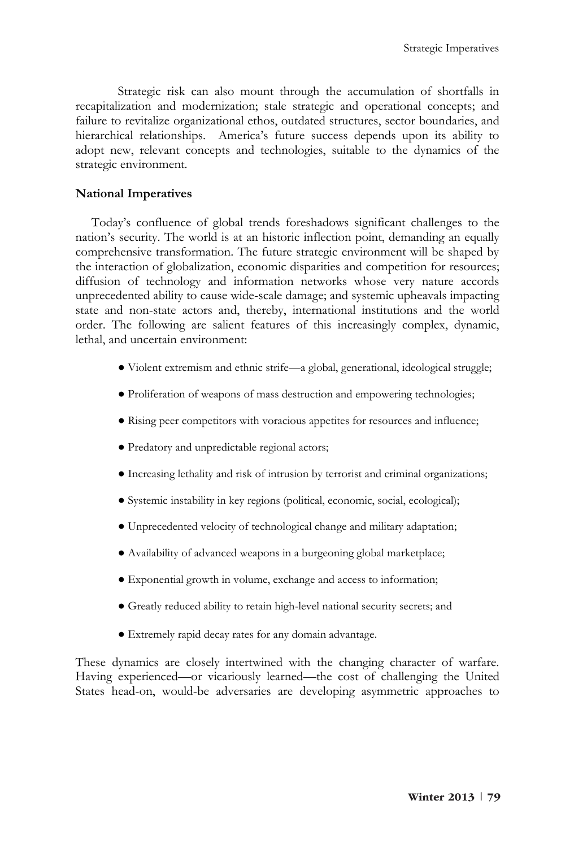Strategic risk can also mount through the accumulation of shortfalls in recapitalization and modernization; stale strategic and operational concepts; and failure to revitalize organizational ethos, outdated structures, sector boundaries, and hierarchical relationships. America's future success depends upon its ability to adopt new, relevant concepts and technologies, suitable to the dynamics of the strategic environment.

### **National Imperatives**

Today's confluence of global trends foreshadows significant challenges to the nation's security. The world is at an historic inflection point, demanding an equally comprehensive transformation. The future strategic environment will be shaped by the interaction of globalization, economic disparities and competition for resources; diffusion of technology and information networks whose very nature accords unprecedented ability to cause wide-scale damage; and systemic upheavals impacting state and non-state actors and, thereby, international institutions and the world order. The following are salient features of this increasingly complex, dynamic, lethal, and uncertain environment:

- Violent extremism and ethnic strife—a global, generational, ideological struggle;
- Proliferation of weapons of mass destruction and empowering technologies;
- Rising peer competitors with voracious appetites for resources and influence;
- Predatory and unpredictable regional actors;
- Increasing lethality and risk of intrusion by terrorist and criminal organizations;
- Systemic instability in key regions (political, economic, social, ecological);
- Unprecedented velocity of technological change and military adaptation;
- Availability of advanced weapons in a burgeoning global marketplace;
- Exponential growth in volume, exchange and access to information;
- Greatly reduced ability to retain high-level national security secrets; and
- Extremely rapid decay rates for any domain advantage.

These dynamics are closely intertwined with the changing character of warfare. Having experienced—or vicariously learned—the cost of challenging the United States head-on, would-be adversaries are developing asymmetric approaches to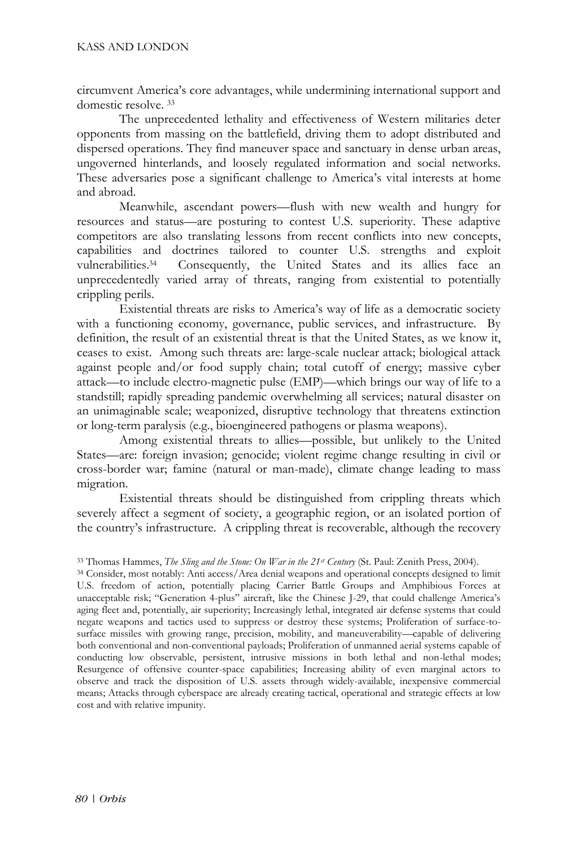circumvent America's core advantages, while undermining international support and domestic resolve. 33

The unprecedented lethality and effectiveness of Western militaries deter opponents from massing on the battlefield, driving them to adopt distributed and dispersed operations. They find maneuver space and sanctuary in dense urban areas, ungoverned hinterlands, and loosely regulated information and social networks. These adversaries pose a significant challenge to America's vital interests at home and abroad.

Meanwhile, ascendant powers—flush with new wealth and hungry for resources and status—are posturing to contest U.S. superiority. These adaptive competitors are also translating lessons from recent conflicts into new concepts, capabilities and doctrines tailored to counter U.S. strengths and exploit vulnerabilities.34 Consequently, the United States and its allies face an unprecedentedly varied array of threats, ranging from existential to potentially crippling perils.

Existential threats are risks to America's way of life as a democratic society with a functioning economy, governance, public services, and infrastructure. By definition, the result of an existential threat is that the United States, as we know it, ceases to exist. Among such threats are: large-scale nuclear attack; biological attack against people and/or food supply chain; total cutoff of energy; massive cyber attack—to include electro-magnetic pulse (EMP)—which brings our way of life to a standstill; rapidly spreading pandemic overwhelming all services; natural disaster on an unimaginable scale; weaponized, disruptive technology that threatens extinction or long-term paralysis (e.g., bioengineered pathogens or plasma weapons).

Among existential threats to allies—possible, but unlikely to the United States—are: foreign invasion; genocide; violent regime change resulting in civil or cross-border war; famine (natural or man-made), climate change leading to mass migration.

Existential threats should be distinguished from crippling threats which severely affect a segment of society, a geographic region, or an isolated portion of the country's infrastructure. A crippling threat is recoverable, although the recovery

33 Thomas Hammes, *The Sling and the Stone: On War in the 21st Century* (St. Paul: Zenith Press, 2004). 34 Consider, most notably: Anti access/Area denial weapons and operational concepts designed to limit U.S. freedom of action, potentially placing Carrier Battle Groups and Amphibious Forces at unacceptable risk; "Generation 4-plus" aircraft, like the Chinese J-29, that could challenge America's aging fleet and, potentially, air superiority; Increasingly lethal, integrated air defense systems that could negate weapons and tactics used to suppress or destroy these systems; Proliferation of surface-tosurface missiles with growing range, precision, mobility, and maneuverability—capable of delivering both conventional and non-conventional payloads; Proliferation of unmanned aerial systems capable of conducting low observable, persistent, intrusive missions in both lethal and non-lethal modes; Resurgence of offensive counter-space capabilities; Increasing ability of even marginal actors to observe and track the disposition of U.S. assets through widely-available, inexpensive commercial means; Attacks through cyberspace are already creating tactical, operational and strategic effects at low cost and with relative impunity.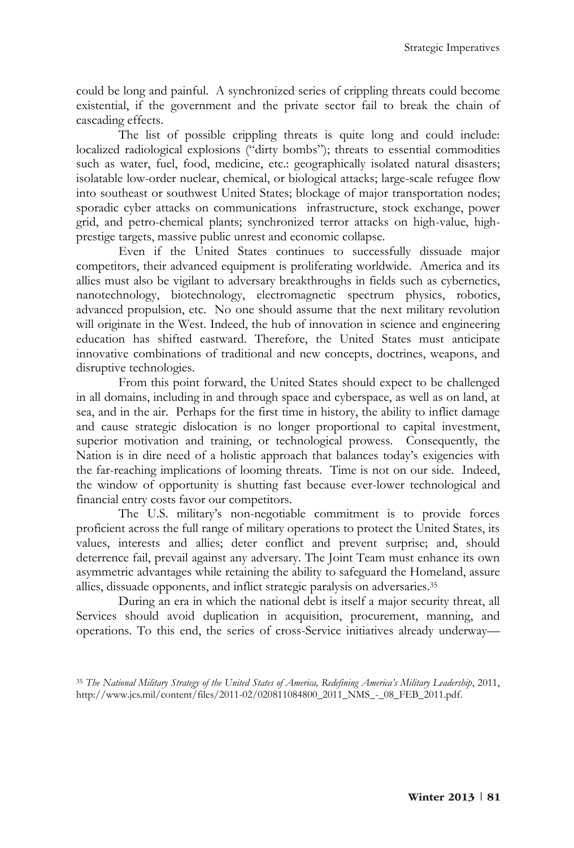could be long and painful. A synchronized series of crippling threats could become existential, if the government and the private sector fail to break the chain of cascading effects.

The list of possible crippling threats is quite long and could include: localized radiological explosions ("dirty bombs"); threats to essential commodities such as water, fuel, food, medicine, etc.: geographically isolated natural disasters; isolatable low-order nuclear, chemical, or biological attacks; large-scale refugee flow into southeast or southwest United States; blockage of major transportation nodes; sporadic cyber attacks on communications infrastructure, stock exchange, power grid, and petro-chemical plants; synchronized terror attacks on high-value, highprestige targets, massive public unrest and economic collapse.

Even if the United States continues to successfully dissuade major competitors, their advanced equipment is proliferating worldwide. America and its allies must also be vigilant to adversary breakthroughs in fields such as cybernetics, nanotechnology, biotechnology, electromagnetic spectrum physics, robotics, advanced propulsion, etc. No one should assume that the next military revolution will originate in the West. Indeed, the hub of innovation in science and engineering education has shifted eastward. Therefore, the United States must anticipate innovative combinations of traditional and new concepts, doctrines, weapons, and disruptive technologies.

From this point forward, the United States should expect to be challenged in all domains, including in and through space and cyberspace, as well as on land, at sea, and in the air. Perhaps for the first time in history, the ability to inflict damage and cause strategic dislocation is no longer proportional to capital investment, superior motivation and training, or technological prowess. Consequently, the Nation is in dire need of a holistic approach that balances today's exigencies with the far-reaching implications of looming threats. Time is not on our side. Indeed, the window of opportunity is shutting fast because ever-lower technological and financial entry costs favor our competitors.

The U.S. military's non-negotiable commitment is to provide forces proficient across the full range of military operations to protect the United States, its values, interests and allies; deter conflict and prevent surprise; and, should deterrence fail, prevail against any adversary. The Joint Team must enhance its own asymmetric advantages while retaining the ability to safeguard the Homeland, assure allies, dissuade opponents, and inflict strategic paralysis on adversaries.35

During an era in which the national debt is itself a major security threat, all Services should avoid duplication in acquisition, procurement, manning, and operations. To this end, the series of cross-Service initiatives already underway—

<sup>35</sup> *The National Military Strategy of the United States of America, Redefining America's Military Leadership*, 2011, http://www.jcs.mil/content/files/2011-02/020811084800\_2011\_NMS\_-\_08\_FEB\_2011.pdf.